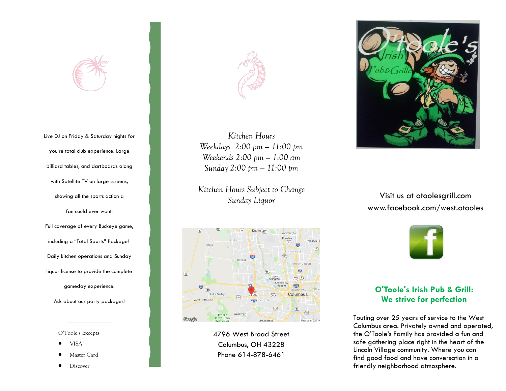Live DJ on Friday & Saturday nights for you're total club experience. Large billiard tables, and dartboards along with Satellite TV on large screens, showing all the sports action a fan could ever want! Full coverage of every Buckeye game, including a "Total Sports" Package! Daily kitchen operations and Sunday liquor license to provide the complete gameday experience.

Ask about our party packages!

O'Toole's Excepts

- VISA
- Master Card
- Discover



*Kitchen Hours Weekdays 2:00 pm — 11:00 pm 2:00 pm — 1:00 am 2:00 pm — 11:00 pm*

*Kitchen Hours Subject to Change Sunday Liquor*



4796 West Broad Street Columbus, OH 43228 Phone 614-878-6461



Visit us at otoolesgrill.com www.facebook.com/west.otooles



# **O'Toole's Irish Pub & Grill: We strive for perfection**

Touting over 25 years of service to the West Columbus area. Privately owned and operated, the O'Toole's Family has provided a fun and safe gathering place right in the heart of the Lincoln Village community. Where you can find good food and have conversation in a friendly neighborhood atmosphere.